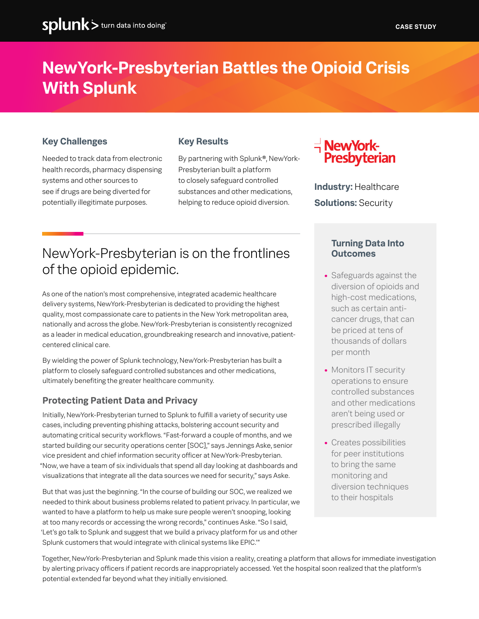# **NewYork-Presbyterian Battles the Opioid Crisis With Splunk**

#### **Key Challenges**

Needed to track data from electronic health records, pharmacy dispensing systems and other sources to see if drugs are being diverted for potentially illegitimate purposes.

#### **Key Results**

By partnering with Splunk®, NewYork-Presbyterian built a platform to closely safeguard controlled substances and other medications, helping to reduce opioid diversion.



**Industry:** Healthcare **Solutions:** Security

## NewYork-Presbyterian is on the frontlines of the opioid epidemic.

As one of the nation's most comprehensive, integrated academic healthcare delivery systems, NewYork-Presbyterian is dedicated to providing the highest quality, most compassionate care to patients in the New York metropolitan area, nationally and across the globe. NewYork-Presbyterian is consistently recognized as a leader in medical education, groundbreaking research and innovative, patientcentered clinical care.

By wielding the power of Splunk technology, NewYork-Presbyterian has built a platform to closely safeguard controlled substances and other medications, ultimately benefiting the greater healthcare community.

#### **Protecting Patient Data and Privacy**

Initially, NewYork-Presbyterian turned to Splunk to fulfill a variety of security use cases, including preventing phishing attacks, bolstering account security and automating critical security workflows. "Fast-forward a couple of months, and we started building our security operations center [SOC]," says Jennings Aske, senior vice president and chief information security officer at NewYork-Presbyterian. "Now, we have a team of six individuals that spend all day looking at dashboards and visualizations that integrate all the data sources we need for security," says Aske.

But that was just the beginning. "In the course of building our SOC, we realized we needed to think about business problems related to patient privacy. In particular, we wanted to have a platform to help us make sure people weren't snooping, looking at too many records or accessing the wrong records," continues Aske. "So I said, 'Let's go talk to Splunk and suggest that we build a privacy platform for us and other Splunk customers that would integrate with clinical systems like EPIC.'"

#### **Turning Data Into Outcomes**

- **•** Safeguards against the diversion of opioids and high-cost medications, such as certain anticancer drugs, that can be priced at tens of thousands of dollars per month
- **•** Monitors IT security operations to ensure controlled substances and other medications aren't being used or prescribed illegally
- **•** Creates possibilities for peer institutions to bring the same monitoring and diversion techniques to their hospitals

Together, NewYork-Presbyterian and Splunk made this vision a reality, creating a platform that allows for immediate investigation by alerting privacy officers if patient records are inappropriately accessed. Yet the hospital soon realized that the platform's potential extended far beyond what they initially envisioned.